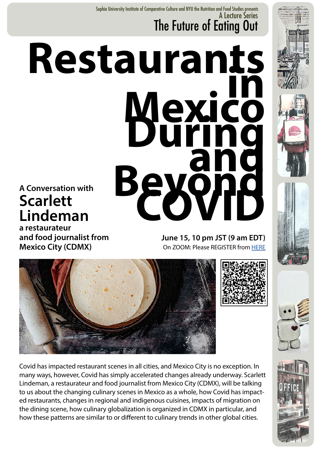A Lecture Series The Future of Eating Out Sophia University Institute of Comparative Culture and NYU the Nutrition and Food Studies presents

## **Restaurants**<br> **Mexico**<br> **During<br>
Beyond Scarlett Lindeman**

**a restaurateur and food journalist from Mexico City (CDMX)** 

**June 15, 10 pm JST (9 am EDT)**  On ZOOM: Please REGISTER from [HERE](https://forms.office.com/pages/responsepage.aspx?id=p-YOaaVN3E-jFrtZnYKl0pSDtnsMuJVAtzRnSitkskJUM1YyMVpXVllVMEtBVjlGSzNBMDVKVVdaNy4u)





Covid has impacted restaurant scenes in all cities, and Mexico City is no exception. In many ways, however, Covid has simply accelerated changes already underway. Scarlett Lindeman, a restaurateur and food journalist from Mexico City (CDMX), will be talking to us about the changing culinary scenes in Mexico as a whole, how Covid has impacted restaurants, changes in regional and indigenous cuisines, impacts of migration on the dining scene, how culinary globalization is organized in CDMX in particular, and how these patterns are similar to or different to culinary trends in other global cities.